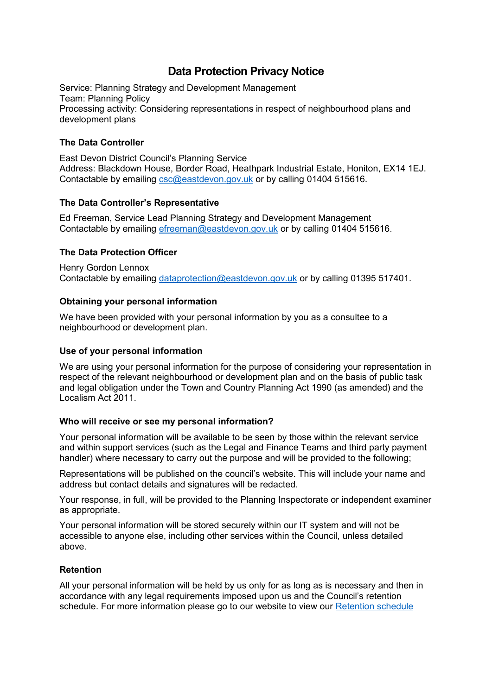# **Data Protection Privacy Notice**

Service: Planning Strategy and Development Management Team: Planning Policy Processing activity: Considering representations in respect of neighbourhood plans and development plans

## **The Data Controller**

East Devon District Council's Planning Service Address: Blackdown House, Border Road, Heathpark Industrial Estate, Honiton, EX14 1EJ. Contactable by emailing [csc@eastdevon.gov.uk](mailto:csc@eastdevon.gov.uk) or by calling 01404 515616.

#### **The Data Controller's Representative**

Ed Freeman, Service Lead Planning Strategy and Development Management Contactable by emailing [efreeman@eastdevon.gov.uk](mailto:efreeman@eastdevon.gov.uk) or by calling 01404 515616.

## **The Data Protection Officer**

Henry Gordon Lennox Contactable by emailing [dataprotection@eastdevon.gov.uk](mailto:dataprotection@eastdevon.gov.uk) or by calling 01395 517401.

#### **Obtaining your personal information**

We have been provided with your personal information by you as a consultee to a neighbourhood or development plan.

#### **Use of your personal information**

We are using your personal information for the purpose of considering your representation in respect of the relevant neighbourhood or development plan and on the basis of public task and legal obligation under the Town and Country Planning Act 1990 (as amended) and the Localism Act 2011.

#### **Who will receive or see my personal information?**

Your personal information will be available to be seen by those within the relevant service and within support services (such as the Legal and Finance Teams and third party payment handler) where necessary to carry out the purpose and will be provided to the following;

Representations will be published on the council's website. This will include your name and address but contact details and signatures will be redacted.

Your response, in full, will be provided to the Planning Inspectorate or independent examiner as appropriate.

Your personal information will be stored securely within our IT system and will not be accessible to anyone else, including other services within the Council, unless detailed above.

#### **Retention**

All your personal information will be held by us only for as long as is necessary and then in accordance with any legal requirements imposed upon us and the Council's retention schedule. For more information please go to our website to view our [Retention schedule](http://eastdevon.gov.uk/access-to-information/data-protection/document-retention-schedules/)